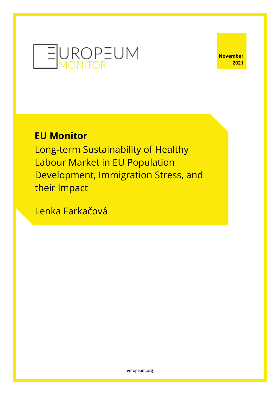

**November 2021**

# **EU Monitor**

Long-term Sustainability of Healthy Labour Market in EU Population Development, Immigration Stress, and their Impact

Lenka Farkačová

[europeum.org](https://europeum.org/)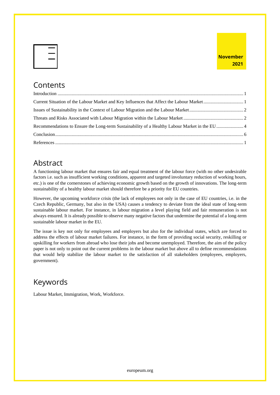## **Contents**

## Abstract

A functioning labour market that ensures fair and equal treatment of the labour force (with no other undesirable factors i.e. such as insufficient working conditions, apparent and targeted involuntary reduction of working hours, etc.) is one of the cornerstones of achieving economic growth based on the growth of innovations. The long-term sustainability of a healthy labour market should therefore be a priority for EU countries.

However, the upcoming workforce crisis (the lack of employees not only in the case of EU countries, i.e. in the Czech Republic, Germany, but also in the USA) causes a tendency to deviate from the ideal state of long-term sustainable labour market. For instance, in labour migration a level playing field and fair remuneration is not always ensured. It is already possible to observe many negative factors that undermine the potential of a long-term sustainable labour market in the EU.

The issue is key not only for employees and employers but also for the individual states, which are forced to address the effects of labour market failures. For instance, in the form of providing social security, reskilling or upskilling for workers from abroad who lose their jobs and become unemployed. Therefore, the aim of the policy paper is not only to point out the current problems in the labour market but above all to define recommendations that would help stabilize the labour market to the satisfaction of all stakeholders (employees, employers, government).

# Keywords

Labour Market, Immigration, Work, Workforce.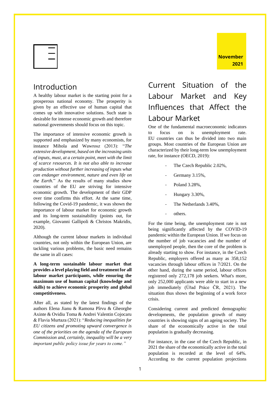

### <span id="page-2-0"></span>Introduction

A healthy labour market is the starting point for a prosperous national economy. The prosperity is given by an effective use of human capital that comes up with innovative solutions. Such state is desirable for intense economic growth and therefore national governments should focus on this topic.

The importance of intensive economic growth is supported and emphasized by many economists, for instance Mihola and Wawrosz (2013): "*The extensive development, based on the increasing units of inputs, must, at a certain point, meet with the limit of scarce resources. It is not also able to increase production without further increasing of inputs what can endanger environment, nature and even life on the Earth.*" As the results of many studies show countries of the EU are striving for intensive economic growth. The development of their GDP over time confirms this effort. At the same time, following the Covid-19 pandemic, it was shown the importance of labour market for economic growth and its long-term sustainability (points out, for example, Giovanni Gallipoli & Christos Makridis, 2020).

Although the current labour markets in individual countries, not only within the European Union, are tackling various problems, the basic need remains the same in all cases:

**A long-term sustainable labour market that provides a level playing field and treatment for all labour market participants, while ensuring the maximum use of human capital (knowledge and skills) to achieve economic prosperity and global competitiveness.**

After all, as stated by the latest findings of the authors Elena Jianu & Ramona Pîrvu & Gheorghe Axinte & Ovidiu Toma & Andrei Valentin Cojocaru & Flavia Murtaza (2021): "*Reducing inequalities for EU citizens and promoting upward convergence is one of the priorities on the agenda of the European Commission and, certainly, inequality will be a very important public policy issue for years to come."*

# <span id="page-2-1"></span>Current Situation of the Labour Market and Key Influences that Affect the Labour Market

One of the fundamental macroeconomic indicators to focus on is unemployment rate. EU countries can thus be divided into two main groups. Most countries of the European Union are characterized by their long-term low unemployment rate, for instance (OECD, 2019):

- The Czech Republic 2.02%,
- Germany 3.15%,
- Poland 3.28%,
- Hungary 3.30%,
- The Netherlands 3.40%,
- others.

For the time being, the unemployment rate is not being significantly affected by the COVID-19 pandemic within the European Union. If we focus on the number of job vacancies and the number of unemployed people, then the core of the problem is already starting to show. For instance, in the Czech Republic, employers offered as many as 358,152 vacancies through labour offices in 7/2021. On the other hand, during the same period, labour offices registered only 272,178 job seekers. What's more, only 252,000 applicants were able to start in a new job immediately (Úřad Práce ČR, 2021). The situation thus shows the beginning of a work force crisis.

Considering current and predicted demographic developments, the population growth of many countries is showing signs of an ageing society. The share of the economically active in the total population is gradually decreasing.

For instance, in the case of the Czech Republic, in 2021 the share of the economically active in the total population is recorded at the level of 64%. According to the current population projections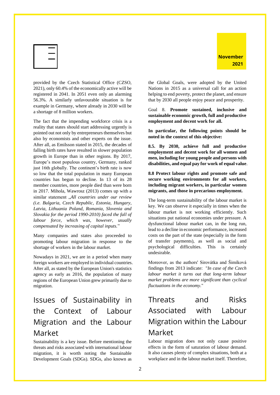

provided by the Czech Statistical Office (CZSO, 2021), only 60.4% of the economically active will be registered in 2041. In 2051 even only an alarming 56.3%. A similarly unfavourable situation is for example in Germany, where already in 2030 will be a shortage of 8 million workers.

The fact that the impending workforce crisis is a reality that states should start addressing urgently is pointed out not only by entrepreneurs themselves but also by economists and other experts on the issue. After all, as Emilsson stated in 2015, the decades of falling birth rates have resulted in slower population growth in Europe than in other regions. By 2017, Europe's most populous country, Germany, ranked just 16th globally. The continent's birth rate is now so low that the total population in many European countries has begun to decline. In 13 of its 28 member countries, more people died than were born in 2017. Mihola, Wawrosz (2013) comes up with a similar statement "All countries under our review *(i.e. Bulgaria, Czech Republic, Estonia, Hungary, Latvia, Lithuania Poland, Romania, Slovenia and Slovakia for the period 1990-2010) faced the fall of labour force, which was, however, usually compensated by increasing of capital inputs.*"

Many companies and states also proceeded to promoting labour migration in response to the shortage of workers in the labour market.

Nowadays in 2021, we are in a period when many foreign workers are employed in individual countries. After all, as stated by the European Union's statistics agency as early as 2016, the population of many regions of the European Union grew primarily due to migration.

# <span id="page-3-0"></span>Issues of Sustainability in the Context of Labour Migration and the Labour Market

Sustainability is a key issue. Before mentioning the threats and risks associated with international labour migration, it is worth noting the Sustainable Development Goals (SDGs). SDGs, also known as

the Global Goals, were adopted by the United Nations in 2015 as a universal call for an action helping to end poverty, protect the planet, and ensure that by 2030 all people enjoy peace and prosperity.

Goal 8. **Promote sustained, inclusive and sustainable economic growth, full and productive employment and decent work for all.**

**In particular, the following points should be noted in the context of this objective:**

**8.5. By 2030, achieve full and productive employment and decent work for all women and men, including for young people and persons with disabilities, and equal pay for work of equal value**.

**8.8 Protect labour rights and promote safe and secure working environments for all workers, including migrant workers, in particular women migrants, and those in precarious employment.**

The long-term sustainability of the labour market is key. We can observe it especially in times when the labour market is not working efficiently. Such situations put national economies under pressure. A dysfunctional labour market can, in the long run, lead to a decline in economic performance, increased costs on the part of the state (especially in the form of transfer payments), as well as social and psychological difficulties. This is certainly undesirable.

Moreover, as the authors' Sirovátka and Šimíková findings from 2013 indicate: "*In case of the Czech labour market it turns out that long-term labour market problems are more significant than cyclical fluctuations in the economy.*"

# <span id="page-3-1"></span>Threats and Risks Associated with Labour Migration within the Labour Market

Labour migration does not only cause positive effects in the form of saturation of labour demand. It also causes plenty of complex situations, both at a workplace and in the labour market itself. Therefore,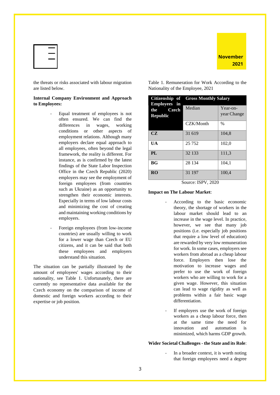



the threats or risks associated with labour migration are listed below.

#### **Internal Company Environment and Approach to Employees:**

- Equal treatment of employees is not often ensured. We can find the differences in wages, working conditions or other aspects of employment relations. Although many employers declare equal approach to all employees, often beyond the legal framework, the reality is different. For instance, as is confirmed by the latest findings of the State Labor Inspection Office in the Czech Republic (2020) employers may see the employment of foreign employees (from countries such as Ukraine) as an opportunity to strengthen their economic interests. Especially in terms of low labour costs and minimizing the cost of creating and maintaining working conditions by employers.
- Foreign employees (from low-income countries) are usually willing to work for a lower wage than Czech or EU citizens, and it can be said that both these employees and employers understand this situation.

The situation can be partially illustrated by the amount of employees' wages according to their nationality, see Table 1. Unfortunately, there are currently no representative data available for the Czech economy on the comparison of income of domestic and foreign workers according to their expertise or job position.

Table 1. Remuneration for Work According to the Nationality of the Employee, 2021

| Citizenship of                                         | <b>Gross Monthly Salary</b> |                         |  |
|--------------------------------------------------------|-----------------------------|-------------------------|--|
| Employees in<br><b>Czech</b><br>the<br><b>Republic</b> | Median                      | Year-on-<br>year Change |  |
|                                                        | CZK/Month                   | $\frac{0}{0}$           |  |
| CZ                                                     | 31 619                      | 104,8                   |  |
| UA                                                     | 25 7 5 2                    | 102,0                   |  |
| PL                                                     | 32 133                      | 111,3                   |  |
| BG <sub>f</sub>                                        | 28 134                      | 104,1                   |  |
| <b>RO</b>                                              | 31 197<br>TODII AOS         | 100,4                   |  |

Source: ISPV, 2020

**Impact on The Labour Market**:

- According to the basic economic theory, the shortage of workers in the labour market should lead to an increase in the wage level. In practice, however, we see that many job positions (i.e. especially job positions that require a low level of education) are rewarded by very low remuneration for work. In some cases, employers see workers from abroad as a cheap labour force. Employers then lose the motivation to increase wages and prefer to use the work of foreign workers who are willing to work for a given wage. However, this situation can lead to wage rigidity as well as problems within a fair basic wage differentiation.
- If employers use the work of foreign workers as a cheap labour force, then at the same time the need for innovation and automation is minimized, which harms GDP growth.

#### **Wider Societal Challenges - the State and its Role**:

In a broader context, it is worth noting that foreign employees need a degree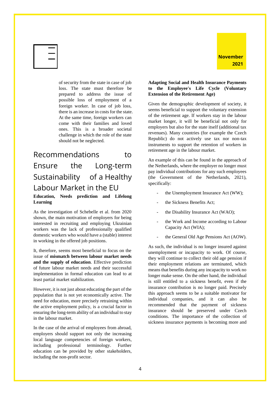

of security from the state in case of job loss. The state must therefore be prepared to address the issue of possible loss of employment of a foreign worker. In case of job loss, there is an increase in costs for the state. At the same time, foreign workers can come with their families and loved ones. This is a broader societal challenge in which the role of the state should not be neglected.

<span id="page-5-0"></span>Recommendations to Ensure the Long-term Sustainability of a Healthy Labour Market in the EU **Education, Needs prediction and Lifelong Learning**

As the investigation of Schebelle et al. from 2020 shown, the main motivation of employers for being interested in recruiting and employing Ukrainian workers was the lack of professionally qualified domestic workers who would have a (stable) interest in working in the offered job positions.

It, therefore, seems most beneficial to focus on the issue of **mismatch between labour market needs and the supply of education**. Effective prediction of future labour market needs and their successful implementation in formal education can lead to at least partial market stabilization.

However, it is not just about educating the part of the population that is not yet economically active. The need for education, more precisely retraining within the active employment policy, is a crucial factor in ensuring the long-term ability of an individual to stay in the labour market.

In the case of the arrival of employees from abroad, employers should support not only the increasing local language competencies of foreign workers, including professional terminology. Further education can be provided by other stakeholders, including the non-profit sector.

#### **Adapting Social and Health Insurance Payments to the Employee's Life Cycle (Voluntary Extension of the Retirement Age)**

Given the demographic development of society, it seems beneficial to support the voluntary extension of the retirement age. If workers stay in the labour market longer, it will be beneficial not only for employers but also for the state itself (additional tax revenues). Many countries (for example the Czech Republic) do not actively use tax nor non-tax instruments to support the retention of workers in retirement age in the labour market.

An example of this can be found in the approach of the Netherlands, where the employer no longer must pay individual contributions for any such employees (the Government of the Netherlands, 2021), specifically:

- the Unemployment Insurance Act (WW);
- the Sickness Benefits Act;
- the Disability Insurance Act (WAO);
- the Work and Income according to Labour Capacity Act (WIA);
- the General Old Age Pensions Act (AOW).

As such, the individual is no longer insured against unemployment or incapacity to work. Of course, they will continue to collect their old age pension if their employment relations are terminated, which means that benefits during any incapacity to work no longer make sense. On the other hand, the individual is still entitled to a sickness benefit, even if the insurance contribution is no longer paid. Precisely this approach seems to be a suitable motivator for individual companies, and it can also be recommended that the payment of sickness insurance should be preserved under Czech conditions. The importance of the collection of sickness insurance payments is becoming more and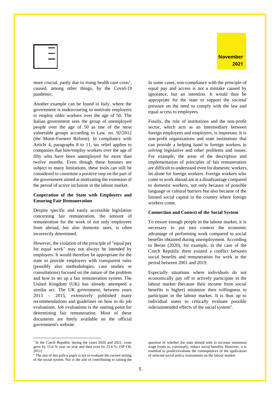

more crucial, partly due to rising health care  $costs<sup>1</sup>$ , caused, among other things, by the Covid-19 pandemic.

Another example can be found in Italy, where the government is endeavouring to motivate employers to employ older workers over the age of 50. The Italian government sees the group of unemployed people over the age of 50 as one of the most vulnerable groups according to Law. no. 92/2012 (the Monti-Fornero Reform). In compliance with Article 4, paragraphs 8 to 11, tax relief applies to companies that hire/employ workers over the age of fifty who have been unemployed for more than twelve months. Even though these bonuses are subject to many limitations, these tools can still be considered to constitute a positive step on the part of the government aimed at motivating the extension of the period of active inclusion in the labour market.

#### **Cooperation of the State with Employers and Ensuring Fair Remuneration**

Despite specific and easily accessible legislation concerning fair remuneration, the amount of remuneration for the work of not only employees from abroad, but also domestic ones, is often incorrectly determined.

However, the violation of the principle of "equal pay for equal work" may not always be intended by employers. It would therefore be appropriate for the state to provide employers with transparent rules (possibly also methodologies, case studies or consultations) focused on the nature of the problem and how to set up a fair remuneration system. The United Kingdom (UK) has already attempted a similar act. The UK government, between years 2013 – 2015, extensively published many recommendations and guidelines on how to do job evaluations. Job evaluations is the starting point for determining fair remuneration. Most of these documents are freely available on the official government's website.

In some cases, non-compliance with the principle of equal pay and access is not a mistake caused by ignorance, but an intention. It would thus be appropriate for the state to support the societal pressure on the need to comply with the law and equal access to employees.

Finally, the role of institutions and the non-profit sector, which acts as an intermediary between foreign employees and employers, is important. It is non-profit organizations and state institutions that can provide a helping hand to foreign workers in solving legislative and other problems and issues. For example, the areas of the description and implementation of principles of fair remuneration are difficult to understand even for domestic workers, let alone for foreign workers. Foreign workers who come to work abroad are at a disadvantage compared to domestic workers, not only because of possible language or cultural barriers but also because of the limited social capital in the country where foreign workers come.

#### **Connection and Context of the Social System**

To ensure enough people in the labour market, it is necessary to put into context the economic advantage of performing work compared to social benefits obtained during unemployment. According to Beran (2020), for example, in the case of the Czech Republic there existed a conflict between social benefits and remuneration for work in the period between 2001 and 2019.

Especially situations where individuals do not economically pay off to actively participate in the labour market (because their income from social benefits is higher) minimize their willingness to participate in the labour market. It is thus up to individual states to critically evaluate possible side/unintended effects of the social system<sup>2</sup>.

<sup>&</sup>lt;sup>1</sup> In the Czech Republic during the years 2020 and 2021, costs grew by 15.6 % year on year and then even by 25.6 %. (SP CR, 2021)

<sup>&</sup>lt;sup>2</sup> The aim of this policy paper is not to evaluate the current setting of the social system. Nor is the aim of contributing to raising the

question of whether the state should seek to increase minimum wage levels or, conversely, reduce social benefits. However, it is essential to predict/evaluate the consequences of the application of selected social policy instruments on the labour market.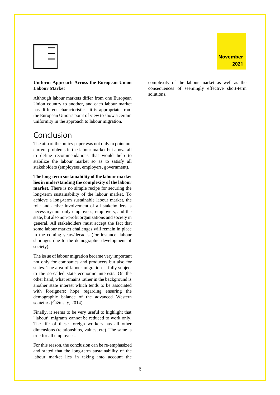



#### **Uniform Approach Across the European Union Labour Market**

Although labour markets differ from one European Union country to another, and each labour market has different characteristics, it is appropriate from the European Union's point of view to show a certain uniformity in the approach to labour migration.

### <span id="page-7-0"></span>Conclusion

The aim of the policy paper was not only to point out current problems in the labour market but above all to define recommendations that would help to stabilize the labour market so as to satisfy all stakeholders (employees, employers, government).

**The long-term sustainability of the labour market lies in understanding the complexity of the labour market**. There is no simple recipe for securing the long-term sustainability of the labour market. To achieve a long-term sustainable labour market, the role and active involvement of all stakeholders is necessary: not only employees, employers, and the state, but also non-profit organizations and society in general. All stakeholders must accept the fact that some labour market challenges will remain in place in the coming years/decades (for instance, labour shortages due to the demographic development of society).

The issue of labour migration became very important not only for companies and producers but also for states. The area of labour migration is fully subject to the so-called state economic interests. On the other hand, what remains rather in the background is another state interest which tends to be associated with foreigners: hope regarding ensuring the demographic balance of the advanced Western societies (Čižinský, 2014).

Finally, it seems to be very useful to highlight that "labour" migrants cannot be reduced to work only. The life of these foreign workers has all other dimensions (relationships, values, etc). The same is true for all employees.

For this reason, the conclusion can be re-emphasized and stated that the long-term sustainability of the labour market lies in taking into account the

complexity of the labour market as well as the consequences of seemingly effective short-term solutions.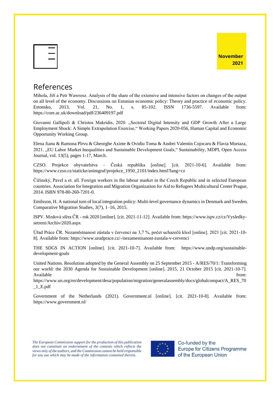| <b>November</b> |      |
|-----------------|------|
|                 | 2021 |

| ł<br>١<br>- |
|-------------|
| ×           |
|             |

### <span id="page-8-0"></span>References

Mihola, Jiří a Petr Wawrosz. Analysis of the share of the extensive and intensive factors on changes of the output on all level of the economy. Discussions on Estonian economic policy: Theory and practice of economic policy. Estonsko, 2013, Vol. 21, No. 1, s. 85-102. ISSN 1736-5597. Available from: https://core.ac.uk/download/pdf/236409197.pdf

Giovanni Gallipoli & Christos Makridis, 2020. "Sectoral Digital Intensity and GDP Growth After a Large Employment Shock: A Simple Extrapolation Exercise," Working Papers 2020-056, Human Capital and Economic Opportunity Working Group.

Elena Jianu & Ramona Pîrvu & Gheorghe Axinte & Ovidiu Toma & Andrei Valentin Cojocaru & Flavia Murtaza, 2021. "EU Labor Market Inequalities and Sustainable Development Goals," Sustainability, MDPI, Open Access Journal, vol. 13(5), pages 1-17, March.

CZSO. Projekce obyvatelstva – Česká republika [online]. [cit. 2021-10-6]. Available from: https://www.czso.cz/staticke/animgraf/projekce\_1950\_2101/index.html?lang=cz

Čižinský, Pavel a et. all. Foreign workers in the labour market in the Czech Republic and in selected European countries. Association for Integration and Migration Organization for Aid to Refugees Multicultural Center Prague, 2014. ISBN 978-80-260-7201-0.

Emilsson, H. A national turn of local integration policy: Multi-level governance dynamics in Denmark and Sweden. Comparative Migration Studies, 3(7), 1–16, 2015.

ISPV. Mzdová sféra ČR - rok 2020 [online]. [cit. 2021-11-12]. Available from: https://www.ispv.cz/cz/Vysledkysetreni/Archiv/2020.aspx

Úřad Práce ČR. Nezaměstnanost zůstala v červenci na 3,7 %, počet uchazečů klesl [online]. 2021 [cit. 2021-10- 8]. Available from: https://www.uradprace.cz/-/nezamestnanost-zustala-v-cervenci

THE SDGS IN ACTION [online]. [cit. 2021-10-7]. Available from: https://www.undp.org/sustainabledevelopment-goals

United Nations. Resolution adopted by the General Assembly on 25 September 2015 - A/RES/70/1: Transforming our world: the 2030 Agenda for Sustainable Development [online]. 2015, 21 October 2015 [cit. 2021-10-7]. Available from: the contract of the contract of the contract of the contract of the contract of the contract of the contract of the contract of the contract of the contract of the contract of the contract of the contract o

https://www.un.org/en/development/desa/population/migration/generalassembly/docs/globalcompact/A\_RES\_70  $_1$ <sub>\_</sub>E.pdf

Government of the Netherlands (2021). Government.nl [online]. [cit. 2021-10-8]. Available from: https://www.government.nl/

*The European Commission support for the production of this publication does not constitute an endorsement of the contents which reflects the views only of the authors, and the Commission cannot be held responsible for any use which may be made of the information contained therein.*



Co-funded by the **Europe for Citizens Programme** of the European Union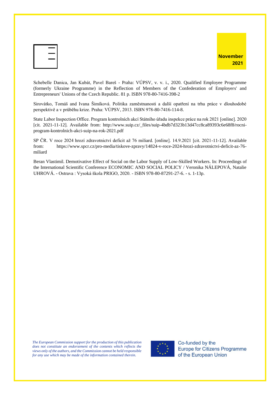| ı      |
|--------|
| $\sim$ |
| ٦      |
|        |



Schebelle Danica, Jan Kubát, Pavel Bareš - Praha: VÚPSV, v. v. i., 2020. Qualified Employee Programme (formerly Ukraine Programme) in the Reflection of Members of the Confederation of Employers' and Entrepreneurs' Unions of the Czech Republic. 81 p. ISBN 978-80-7416-398-2

Sirovátko, Tomáš and Ivana Šimíková. Politika zaměstnanosti a další opatření na trhu práce v dlouhodobé perspektivě a v průběhu krize. Praha: VÚPSV, 2013. ISBN 978-80-7416-114-8.

State Labor Inspection Office. Program kontrolních akcí Státního úřadu inspekce práce na rok 2021 [online]. 2020 [cit. 2021-11-12]. Available from: http://www.suip.cz/\_files/suip-4bdb7d323b13d47cc8ca89393c6e68f8/rocniprogram-kontrolnich-akci-suip-na-rok-2021.pdf

SP ČR. V roce 2024 hrozí zdravotnictví deficit až 76 miliard. [online]. 14.9.2021 [cit. 2021-11-12]. Available from: https://www.spcr.cz/pro-media/tiskove-zpravy/14824-v-roce-2024-hrozi-zdravotnictvi-deficit-az-76 miliard

Beran Vlastimil. Demotivative Effect of Social on the Labor Supply of Low-Skilled Workers. In: Proceedings of the International Scientific Conference ECONOMIC AND SOCIAL POLICY / Veronika NÁLEPOVÁ, Natalie UHROVÁ. - Ostrava : Vysoká škola PRIGO, 2020. - ISBN 978-80-87291-27-6. - s. 1-13p.

*The European Commission support for the production of this publication does not constitute an endorsement of the contents which reflects the views only of the authors, and the Commission cannot be held responsible for any use which may be made of the information contained therein.*



Co-funded by the **Europe for Citizens Programme** of the European Union